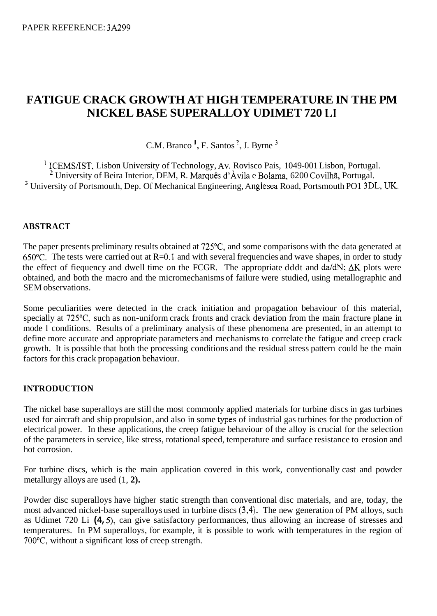# **FATIGUE CRACK GROWTH AT HIGH TEMPERATURE IN THE PM NICKEL BASE SUPERALLOY UDIMET 720 L1**

C.M. Branco **I,** F. Santos **2,** J. Byrne

<sup>1</sup> ICEMS/IST, Lisbon University of Technology, Av. Rovisco Pais, 1049-001 Lisbon, Portugal. <sup>2</sup> University of Beira Interior, DEM, R. Marquês d'Àvila e Bolama, 6200 Covilhã, Portugal. <sup>3</sup> University of Portsmouth, Dep. Of Mechanical Engineering, Anglesea Road, Portsmouth PO1 3DL, UK.

# **ABSTRACT**

The paper presents preliminary results obtained at 725°C, and some comparisons with the data generated at 650 $^{\circ}$ C. The tests were carried out at R=0.1 and with several frequencies and wave shapes, in order to study the effect of fiequency and dwell time on the FCGR. The appropriate dddt and da/dN;  $\Delta K$  plots were obtained, and both the macro and the micromechanisms of failure were studied, using metallographic and SEM observations.

Some peculiarities were detected in the crack initiation and propagation behaviour of this material, specially at 725°C, such as non-uniform crack fronts and crack deviation from the main fracture plane in mode I conditions. Results of a preliminary analysis of these phenomena are presented, in an attempt to define more accurate and appropriate parameters and mechanisms to correlate the fatigue and creep crack growth. It is possible that both the processing conditions and the residual stress pattern could be the main factors for this crack propagation behaviour.

### **INTRODUCTION**

The nickel base superalloys are still the most commonly applied materials for turbine discs in gas turbines used for aircraft and ship propulsion, and also in some types of industrial gas turbines for the production of electrical power. In these applications, the creep fatigue behaviour of the alloy is crucial for the selection of the parameters in service, like stress, rotational speed, temperature and surface resistance to erosion and hot corrosion.

For turbine discs, which is the main application covered in this work, conventionally cast and powder metallurgy alloys are used (1, **2).** 

Powder disc superalloys have higher static strength than conventional disc materials, and are, today, the most advanced nickel-base superalloys used in turbine discs (3,4). The new generation of PM alloys, such as Udimet 720 Li **(4,** *5),* can give satisfactory performances, thus allowing an increase of stresses and temperatures. In PM superalloys, for example, it is possible to work with temperatures in the region of 7OO0C, without a significant loss of creep strength.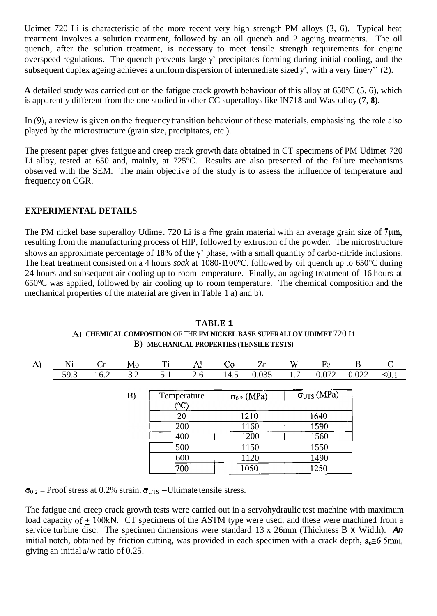<span id="page-1-0"></span>Udimet 720 Li is characteristic of the more recent very high strength PM alloys (3, 6). Typical heat treatment involves a solution treatment, followed by an oil quench and 2 ageing treatments. The oil quench, after the solution treatment, is necessary to meet tensile strength requirements for engine overspeed regulations. The quench prevents large  $\gamma$ ' precipitates forming during initial cooling, and the subsequent duplex ageing achieves a uniform dispersion of intermediate sized y', with a very fine  $\gamma$ " (2).

**A** detailed study was carried out on the fatigue crack growth behaviour of this alloy at 650°C (5, 6), which is apparently different from the one studied in other CC superalloys like IN718 and Waspalloy (7, 8).

In (9), a review is given on the frequency transition behaviour of these materials, emphasising the role also played by the microstructure (grain size, precipitates, etc.).

The present paper gives fatigue and creep crack growth data obtained in CT specimens of PM Udimet 720 Li alloy, tested at 650 and, mainly, at 725°C. Results are also presented of the failure mechanisms observed with the SEM. The main objective of the study is to assess the influence of temperature and frequency on CGR.

# **EXPERIMENTAL DETAILS**

The PM nickel base superalloy Udimet 720 Li is a fine grain material with an average grain size of  $7\mu$ m, resulting from the manufacturing process of HIP, followed by extrusion of the powder. The microstructure shows an approximate percentage of **18%** of the y' phase, with a small quantity of carbo-nitride inclusions. The heat treatment consisted on a 4 hours *soak* at 1080-1100<sup>o</sup>C, followed by oil quench up to 650<sup>o</sup>C during 24 hours and subsequent air cooling up to room temperature. Finally, an ageing treatment of 16 hours at 650°C was applied, followed by air cooling up to room temperature. The chemical composition and the mechanical properties of the material are given in Table 1 a) and b).

| A) | Ni   | Cr   | Mo  | Ti  | Al            | Co                   | Zr    | W   | Fe                          | B     | C     |
|----|------|------|-----|-----|---------------|----------------------|-------|-----|-----------------------------|-------|-------|
|    | 59.3 | 16.2 | 3.2 | 5.1 | 2.6           | 14.5                 | 0.035 | 1.7 | 0.072                       | 0.022 | < 0.1 |
|    |      |      |     |     |               |                      |       |     |                             |       |       |
|    |      |      | B)  |     | Temperature   | $\sigma_{0.2}$ (MPa) |       |     | $\sigma_{\text{UTS}}$ (MPa) |       |       |
|    |      |      |     |     | $(^{\circ}C)$ |                      |       |     |                             |       |       |
|    |      |      |     | 20  |               |                      | 1210  |     | 1640                        |       |       |
|    |      |      |     | 200 |               | 1160                 |       |     | 1590                        |       |       |
|    |      |      |     | 400 |               | 1200                 |       |     | 1560                        |       |       |
|    |      |      |     | 500 |               | 1150                 |       |     | 1550                        |       |       |
|    |      |      |     | 600 |               | 1120                 |       |     | 1490                        |       |       |
|    |      |      |     | 700 |               |                      | 1050  |     | 1250                        |       |       |

**TABLE 1**  A) CHEMICAL COMPOSITION OF THE PM NICKEL BASE SUPERALLOY UDIMET  $720$  L1 B) **MECHANICAL PROPERTIES (TENSILE TESTS)** 

 $\sigma_{0.2}$  – Proof stress at 0.2% strain.  $\sigma_{UTS}$  – Ultimate tensile stress.

The fatigue and creep crack growth tests were carried out in a servohydraulic test machine with maximum load capacity of  $+100kN$ . CT specimens of the ASTM type were used, and these were machined from a service turbine disc. The specimen dimensions were standard 13 x 26mm (Thickness B **x** Width). *An*  initial notch, obtained by friction cutting, was provided in each specimen with a crack depth,  $a_0 \approx 6.5$ mm, giving an initial a/w ratio of 0.25.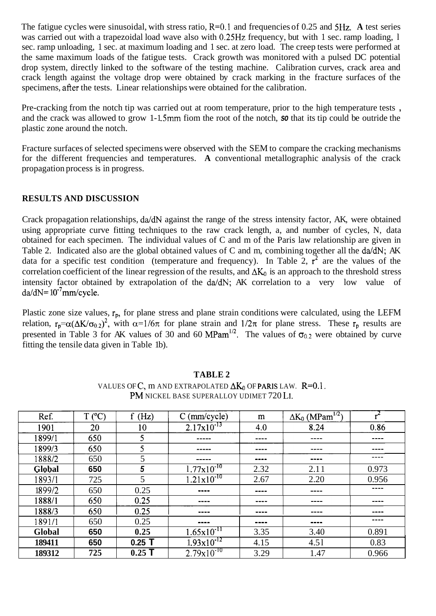<span id="page-2-0"></span>The fatigue cycles were sinusoidal, with stress ratio, R=O.l and frequencies of 0.25 and **5Hz. A** test series was carried out with a trapezoidal load wave also with 0.25Hz frequency, but with 1 sec. ramp loading, 1 sec. ramp unloading, 1 sec. at maximum loading and 1 sec. at zero load. The creep tests were performed at the same maximum loads of the fatigue tests. Crack growth was monitored with a pulsed DC potential drop system, directly linked to the software of the testing machine. Calibration curves, crack area and crack length against the voltage drop were obtained by crack marking in the fracture surfaces of the specimens, after the tests. Linear relationships were obtained for the calibration.

Pre-cracking from the notch tip was carried out at room temperature, prior to the high temperature tests , and the crack was allowed to grow 1-1.5mm fiom the root of the notch, so that its tip could be outride the plastic zone around the notch.

Fracture surfaces of selected specimens were observed with the SEM to compare the cracking mechanisms for the different frequencies and temperatures. **A** conventional metallographic analysis of the crack propagation process is in progress.

# **RESULTS AND DISCUSSION**

Crack propagation relationships, da/dN against the range of the stress intensity factor, AK, were obtained using appropriate curve fitting techniques to the raw crack length, a, and number of cycles, N, data obtained for each specimen. The individual values of C and m of the Paris law relationship are given in Table 2. Indicated also are the global obtained values of C and m, combining together all the da/dN; AK data for a specific test condition (temperature and frequency). In Table 2,  $\vec{r}^2$  are the values of the correlation coefficient of the linear regression of the results, and  $\Delta K_0$  is an approach to the threshold stress intensity factor obtained by extrapolation of the da/dN; AK correlation to a very low value of  $da/dN = 10^{-7}$ mm/cycle.

Plastic zone size values,  $r_p$ , for plane stress and plane strain conditions were calculated, using the LEFM relation,  $r_p = \alpha(\Delta K/\sigma_{0.2})^2$ , with  $\alpha=1/6\pi$  for plane strain and  $1/2\pi$  for plane stress. These  $r_p$  results are presented in [Table 3](#page-3-0) for AK values of 30 and 60 MPam<sup>1/2</sup>. The values of  $\sigma_{0.2}$  were obtained by curve fitting the tensile data given in [Table 1](#page-1-0)b).

| Ref.   | $T (^{\circ}C)$ | f(Hz)    | $C$ (mm/cycle)         | m    | $\underline{\Delta K_0 (MPam^{1/2})}$ |       |
|--------|-----------------|----------|------------------------|------|---------------------------------------|-------|
| 1901   | 20              | 10       | $2.17 \times 10^{-13}$ | 4.0  | 8.24                                  | 0.86  |
| 1899/1 | 650             | 5        |                        | ---- |                                       |       |
| 1899/3 | 650             | 5        |                        | ---- | ----                                  |       |
| 1888/2 | 650             | 5        |                        | ---- | ----                                  | ----  |
| Global | 650             | 5        | $1.77 \times 10^{-10}$ | 2.32 | 2.11                                  | 0.973 |
| 1893/1 | 725             | 5        | $1.21 \times 10^{-10}$ | 2.67 | 2.20                                  | 0.956 |
| 1899/2 | 650             | 0.25     | ----                   |      |                                       | ----  |
| 1888/1 | 650             | 0.25     | ----                   | ---- |                                       |       |
| 1888/3 | 650             | 0.25     | ----                   | ---- |                                       |       |
| 1891/1 | 650             | 0.25     | ----                   | ---- | ----                                  | ----  |
| Global | 650             | 0.25     | $1.65x10^{5}$          | 3.35 | 3.40                                  | 0.891 |
| 189411 | 650             | $0.25$ T | $1.93 \times 10^{-12}$ | 4.15 | 4.51                                  | 0.83  |
| 189312 | 725             | $0.25$ T | $2.79 \times 10^{-10}$ | 3.29 | 1.47                                  | 0.966 |

### **TABLE 2**

VALUES OF  $C$ , m AND EXTRAPOLATED  $\Delta K_0$  OF **PARIS** LAW.  $R=0.1$ . PM NICKEL BASE SUPERALLOY UDIMET 720 LI.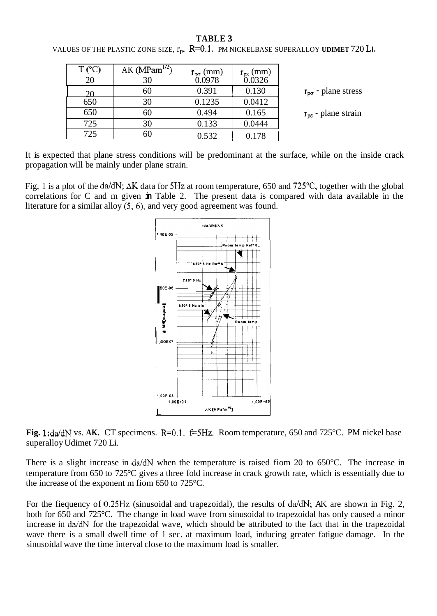#### **TABLE 3**

| $T$ (°C) | AK ( $MPam^{1/2}$ ) | $r_{\rm rec}$ (mm) | .mm    |                             |
|----------|---------------------|--------------------|--------|-----------------------------|
| 20       | 30                  | 0.0978             | 0.0326 |                             |
| 20       | 60                  | 0.391              | 0.130  | $r_{\rm po}$ - plane stress |
| 650      | 30                  | 0.1235             | 0.0412 |                             |
| 650      | 60                  | 0.494              | 0.165  | $r_{\rm pe}$ - plane strain |
| 725      | 30                  | 0.133              | 0.0444 |                             |
| 725      | 60                  | 0.532              |        |                             |

<span id="page-3-0"></span>VALUES OF THE PLASTIC ZONE SIZE,  $r_p$ .  $R=0.1$ . PM NICKELBASE SUPERALLOY **UDIMET** 720 LI.

It is expected that plane stress conditions will be predominant at the surface, while on the inside crack propagation will be mainly under plane strain.

Fig, 1 is a plot of the dddN; **AK** data for **5Hz** at room temperature, 650 and 725"C, together with the global correlations for C and m given **in** [Table 2.](#page-2-0) The present data is compared with data available in the literature for a similar alloy (5,6), and very good agreement was found.



**Fig. 1:**da/dN vs. AK. CT specimens.  $R=0.1$ .  $f=5Hz$ . Room temperature, 650 and 725°C. PM nickel base superalloy Udimet 720 Li.

There is a slight increase in  $da/dN$  when the temperature is raised fiom 20 to 650°C. The increase in temperature from 650 to 725°C gives a three fold increase in crack growth rate, which is essentially due to the increase of the exponent m fiom 650 to 725°C.

For the fiequency of 0.25Hz (sinusoidal and trapezoidal), the results of da/dN; AK are shown in Fig. 2, both for 650 and 725°C. The change in load wave from sinusoidal to trapezoidal has only caused a minor increase in da/dN for the trapezoidal wave, which should be attributed to the fact that in the trapezoidal wave there is a small dwell time of 1 sec. at maximum load, inducing greater fatigue damage. In the sinusoidal wave the time interval close to the maximum load is smaller.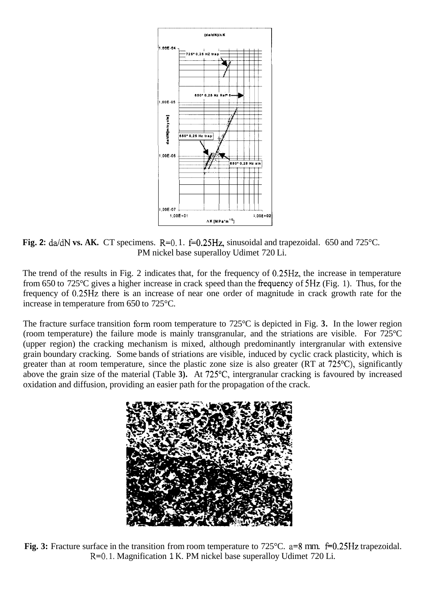

**Fig. 2:**  $da/dN$  **vs. AK.** CT specimens. R=0.1.  $f=0.25Hz$ , sinusoidal and trapezoidal. 650 and 725°C. PM nickel base superalloy Udimet 720 Li.

The trend of the results in Fig. 2 indicates that, for the frequency of 0.25Hz, the increase in temperature from 650 to 725 $\degree$ C gives a higher increase in crack speed than the frequency of 5Hz (Fig. 1). Thus, for the frequency of 0.25Hz there is an increase of near one order of magnitude in crack growth rate for the increase in temperature from 650 to 725°C.

The fracture surface transition form room temperature to 725°C is depicted in Fig. **3.** In the lower region (room temperature) the failure mode is mainly transgranular, and the striations are visible. For 725°C (upper region) the cracking mechanism is mixed, although predominantly intergranular with extensive grain boundary cracking. Some bands of striations are visible, induced by cyclic crack plasticity, which is greater than at room temperature, since the plastic zone size is also greater (RT at 725"C), significantly above the grain size of the material (Table **3).** At 725"C, intergranular cracking is favoured by increased oxidation and diffusion, providing an easier path for the propagation of the crack.



**Fig. 3:** Fracture surface in the transition from room temperature to 725°C. a=8 mm. f=0.25Hz trapezoidal. R=O. 1. Magnification 1 K. PM nickel base superalloy Udimet 720 Li.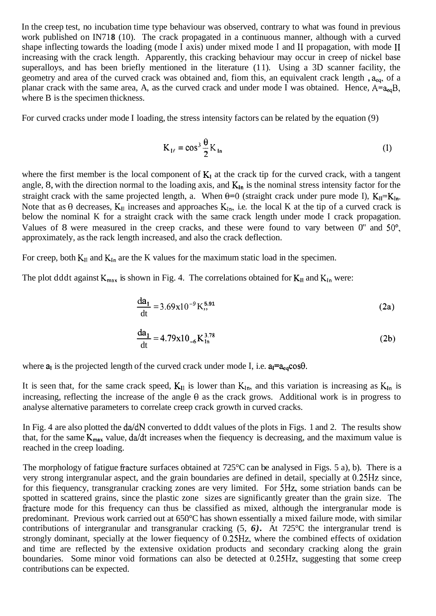In the creep test, no incubation time type behaviour was observed, contrary to what was found in previous work published on IN718 (10). The crack propagated in a continuous manner, although with a curved shape inflecting towards the loading (mode I axis) under mixed mode I and 11 propagation, with mode I1 increasing with the crack length. Apparently, this cracking behaviour may occur in creep of nickel base superalloys, and has been briefly mentioned in the literature (11). Using a 3D scanner facility, the geometry and area of the curved crack was obtained and, fiom this, an equivalent crack length , **aeq,** of a planar crack with the same area, A, as the curved crack and under mode  $\hat{\bf I}$  was obtained. Hence,  $A=a_{eq}B$ , where B is the specimen thickness.

For curved cracks under mode I loading, the stress intensity factors can be related by the equation (9)

$$
K_{1\ell} = \cos^3 \frac{\theta}{2} K_{1n} \tag{1}
$$

where the first member is the local component of  $K_I$  at the crack tip for the curved crack, with a tangent angle, 8, with the direction normal to the loading axis, and  $K_{In}$  is the nominal stress intensity factor for the straight crack with the same projected length, a. When  $\theta=0$  (straight crack under pure mode I),  $K_{II}=K_{In}$ . Note that as  $\theta$  decreases,  $K_{II}$  increases and approaches  $K_{In}$ , i.e. the local K at the tip of a curved crack is below the nominal K for a straight crack with the same crack length under mode I crack propagation. Values of 8 were measured in the creep cracks, and these were found to vary between 0" and 50°, approximately, as the rack length increased, and also the crack deflection.

For creep, both  $K_{II}$  and  $K_{In}$  are the K values for the maximum static load in the specimen.

The plot dddt against  $K_{max}$  is shown in Fig. 4. The correlations obtained for  $K_{11}$  and  $K_{1n}$  were:

$$
\frac{da_1}{dt} = 3.69x10^{-9}K^{5.91},
$$
 (2a)

$$
\frac{da_1}{dt} = 4.79x10_{-6} K_{1n}^{3.78}
$$
 (2b)

where  $a_1$  is the projected length of the curved crack under mode I, i.e.  $a_1 = a_{eq} \cos \theta$ .

It is seen that, for the same crack speed,  $K_{11}$  is lower than  $K_{1n}$ , and this variation is increasing as  $K_{1n}$  is increasing, reflecting the increase of the angle  $\theta$  as the crack grows. Additional work is in progress to analyse alternative parameters to correlate creep crack growth in curved cracks.

In Fig. 4 are also plotted the da/dN converted to dddt values of the plots in Figs. 1 and 2. The results show that, for the same  $K_{max}$  value, da/dt increases when the fiequency is decreasing, and the maximum value is reached in the creep loading.

The morphology of fatigue fiacture surfaces obtained at 725°C can be analysed in Figs. 5 a), b). There is a very strong intergranular aspect, and the grain boundaries are defined in detail, specially at 0.25Hz since, for this fiequency, transgranular cracking zones are very limited. For 5Hz, some striation bands can be spotted in scattered grains, since the plastic zone sizes are significantly greater than the grain size. The fracture mode for this frequency can thus be classified as mixed, although the intergranular mode is predominant. Previous work carried out at 650°C has shown essentially a mixed failure mode, with similar contributions of intergranular and transgranular cracking (5, *6).* At 725°C the intergranular trend is strongly dominant, specially at the lower fiequency of 0.25Hz, where the combined effects of oxidation and time are reflected by the extensive oxidation products and secondary cracking along the grain boundaries. Some minor void formations can also be detected at 0.25Hz, suggesting that some creep contributions can be expected.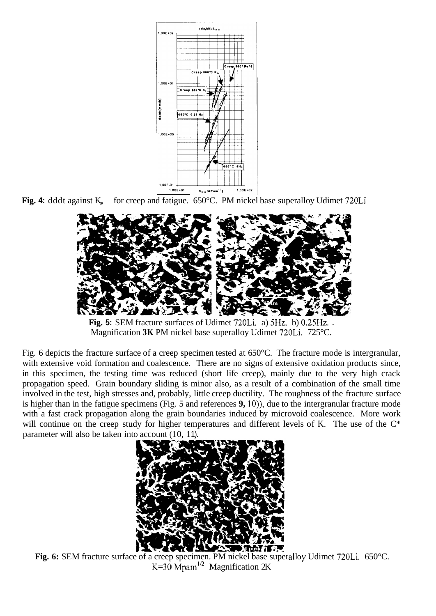

Fig. 4: dddt against K<sub>n</sub> for creep and fatigue. 650°C. PM nickel base superalloy Udimet 720Li



**Fig. 5:** SEM fracture surfaces of Udimet 720Li. a) 5Hz. b) 0.25Hz. . Magnification **3K** PM nickel base superalloy Udimet 720Li. 725°C.

Fig. 6 depicts the fracture surface of a creep specimen tested at 650°C. The fracture mode is intergranular, with extensive void formation and coalescence. There are no signs of extensive oxidation products since, in this specimen, the testing time was reduced (short life creep), mainly due to the very high crack propagation speed. Grain boundary sliding is minor also, as a result of a combination of the small time involved in the test, high stresses and, probably, little creep ductility. The roughness of the fracture surface is higher than in the fatigue specimens (Fig. 5 and references **9,** lo)), due to the intergranular fracture mode with a fast crack propagation along the grain boundaries induced by microvoid coalescence. More work will continue on the creep study for higher temperatures and different levels of K. The use of the  $C^*$ parameter will also be taken into account (10, 11).



Fig. 6: SEM fracture surface of a creep specimen. PM nickel base superalloy Udimet 720Li. 650°C. K=30 Mpam<sup>1/2</sup> Magnification 2K